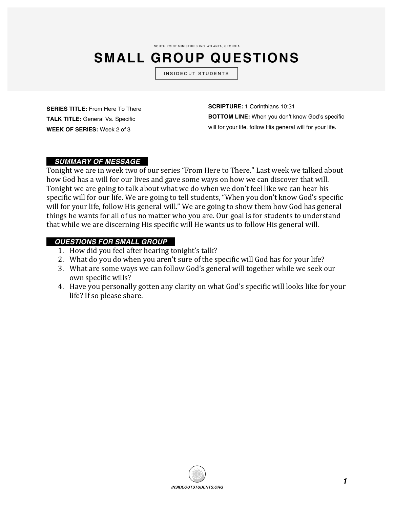NORTH POINT MINISTRIES INC. ATLANTA, GEORGIA

## **SMALL GROUP QUESTIONS**

INSIDEOUT STUDENTS

**SERIES TITLE:** From Here To There **TALK TITLE:** General Vs. Specific **WEEK OF SERIES:** Week 2 of 3

**SCRIPTURE:** 1 Corinthians 10:31 **BOTTOM LINE:** When you don't know God's specific will for your life, follow His general will for your life.

## *\_\_SUMMARY OF MESSAGE\_\_*

Tonight we are in week two of our series "From Here to There." Last week we talked about how God has a will for our lives and gave some ways on how we can discover that will. Tonight we are going to talk about what we do when we don't feel like we can hear his specific will for our life. We are going to tell students, "When you don't know God's specific will for your life, follow His general will." We are going to show them how God has general things he wants for all of us no matter who you are. Our goal is for students to understand that while we are discerning His specific will He wants us to follow His general will.

## *\_\_QUESTIONS FOR SMALL GROUP\_\_*

- 1. How did you feel after hearing tonight's talk?
- 2. What do you do when you aren't sure of the specific will God has for your life?
- 3. What are some ways we can follow God's general will together while we seek our own specific wills?
- 4. Have you personally gotten any clarity on what God's specific will looks like for your life? If so please share.